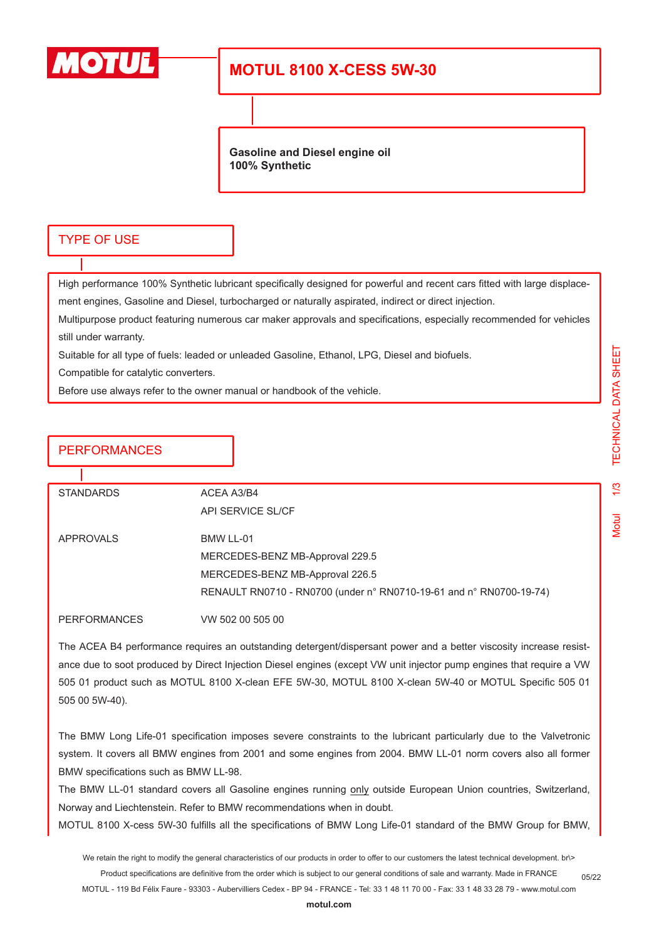

# **MOTUL 8100 X-CESS 5W-30**

**Gasoline and Diesel engine oil 100% Synthetic**

#### TYPE OF USE

High performance 100% Synthetic lubricant specifically designed for powerful and recent cars fitted with large displacement engines, Gasoline and Diesel, turbocharged or naturally aspirated, indirect or direct injection.

Multipurpose product featuring numerous car maker approvals and specifications, especially recommended for vehicles still under warranty.

Suitable for all type of fuels: leaded or unleaded Gasoline, Ethanol, LPG, Diesel and biofuels.

Compatible for catalytic converters.

Before use always refer to the owner manual or handbook of the vehicle.

### **PERFORMANCES**

| <b>STANDARDS</b> | ACEA A3/B4                                                          |
|------------------|---------------------------------------------------------------------|
|                  | API SERVICE SL/CF                                                   |
|                  |                                                                     |
| APPROVALS        | BMW LL-01                                                           |
|                  | MERCEDES-BENZ MB-Approval 229.5                                     |
|                  | MERCEDES-BENZ MB-Approval 226.5                                     |
|                  | RENAULT RN0710 - RN0700 (under n° RN0710-19-61 and n° RN0700-19-74) |
| PERFORMANCES     | VW 502 00 505 00                                                    |
|                  |                                                                     |

The ACEA B4 performance requires an outstanding detergent/dispersant power and a better viscosity increase resistance due to soot produced by Direct Injection Diesel engines (except VW unit injector pump engines that require a VW 505 01 product such as MOTUL 8100 X-clean EFE 5W-30, MOTUL 8100 X-clean 5W-40 or MOTUL Specific 505 01 505 00 5W-40).

The BMW Long Life-01 specification imposes severe constraints to the lubricant particularly due to the Valvetronic system. It covers all BMW engines from 2001 and some engines from 2004. BMW LL-01 norm covers also all former BMW specifications such as BMW LL-98.

The BMW LL-01 standard covers all Gasoline engines running only outside European Union countries, Switzerland, Norway and Liechtenstein. Refer to BMW recommendations when in doubt.

MOTUL 8100 X-cess 5W-30 fulfills all the specifications of BMW Long Life-01 standard of the BMW Group for BMW,

We retain the right to modify the general characteristics of our products in order to offer to our customers the latest technical development. br\> Product specifications are definitive from the order which is subject to our general conditions of sale and warranty. Made in FRANCE MOTUL - 119 Bd Félix Faure - 93303 - Aubervilliers Cedex - BP 94 - FRANCE - Tel: 33 1 48 11 70 00 - Fax: 33 1 48 33 28 79 - www.motul.com

05/22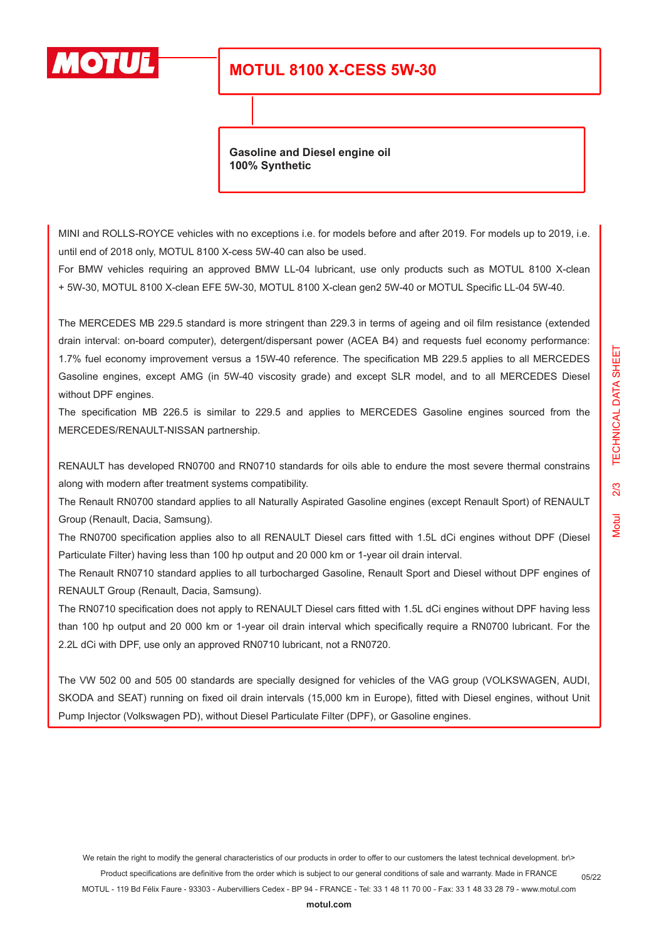

# **MOTUL 8100 X-CESS 5W-30**

**Gasoline and Diesel engine oil 100% Synthetic**

MINI and ROLLS-ROYCE vehicles with no exceptions i.e. for models before and after 2019. For models up to 2019, i.e. until end of 2018 only, MOTUL 8100 X-cess 5W-40 can also be used.

For BMW vehicles requiring an approved BMW LL-04 lubricant, use only products such as MOTUL 8100 X-clean + 5W-30, MOTUL 8100 X-clean EFE 5W-30, MOTUL 8100 X-clean gen2 5W-40 or MOTUL Specific LL-04 5W-40.

The MERCEDES MB 229.5 standard is more stringent than 229.3 in terms of ageing and oil film resistance (extended drain interval: on-board computer), detergent/dispersant power (ACEA B4) and requests fuel economy performance: 1.7% fuel economy improvement versus a 15W-40 reference. The specification MB 229.5 applies to all MERCEDES Gasoline engines, except AMG (in 5W-40 viscosity grade) and except SLR model, and to all MERCEDES Diesel without DPF engines.

The specification MB 226.5 is similar to 229.5 and applies to MERCEDES Gasoline engines sourced from the MERCEDES/RENAULT-NISSAN partnership.

RENAULT has developed RN0700 and RN0710 standards for oils able to endure the most severe thermal constrains along with modern after treatment systems compatibility.

The Renault RN0700 standard applies to all Naturally Aspirated Gasoline engines (except Renault Sport) of RENAULT Group (Renault, Dacia, Samsung).

The RN0700 specification applies also to all RENAULT Diesel cars fitted with 1.5L dCi engines without DPF (Diesel Particulate Filter) having less than 100 hp output and 20 000 km or 1-year oil drain interval.

The Renault RN0710 standard applies to all turbocharged Gasoline, Renault Sport and Diesel without DPF engines of RENAULT Group (Renault, Dacia, Samsung).

The RN0710 specification does not apply to RENAULT Diesel cars fitted with 1.5L dCi engines without DPF having less than 100 hp output and 20 000 km or 1-year oil drain interval which specifically require a RN0700 lubricant. For the 2.2L dCi with DPF, use only an approved RN0710 lubricant, not a RN0720.

The VW 502 00 and 505 00 standards are specially designed for vehicles of the VAG group (VOLKSWAGEN, AUDI, SKODA and SEAT) running on fixed oil drain intervals (15,000 km in Europe), fitted with Diesel engines, without Unit Pump Injector (Volkswagen PD), without Diesel Particulate Filter (DPF), or Gasoline engines.